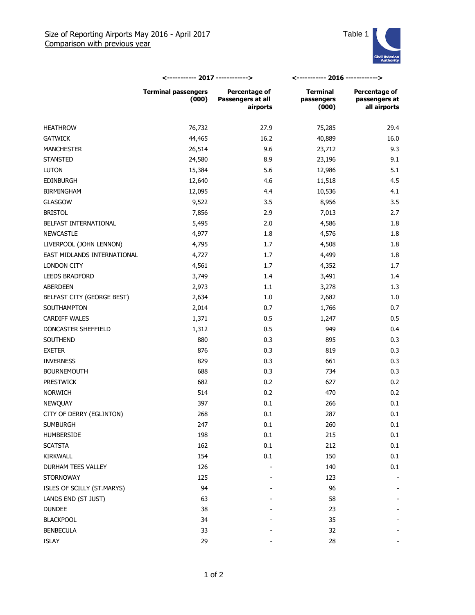

|                             | <----------- 2017 ------------>     |                                                | <----------- 2016 ------------>        |                                                |
|-----------------------------|-------------------------------------|------------------------------------------------|----------------------------------------|------------------------------------------------|
|                             | <b>Terminal passengers</b><br>(000) | Percentage of<br>Passengers at all<br>airports | <b>Terminal</b><br>passengers<br>(000) | Percentage of<br>passengers at<br>all airports |
| <b>HEATHROW</b>             | 76,732                              | 27.9                                           | 75,285                                 | 29.4                                           |
| <b>GATWICK</b>              | 44,465                              | 16.2                                           | 40,889                                 | 16.0                                           |
| <b>MANCHESTER</b>           | 26,514                              | 9.6                                            | 23,712                                 | 9.3                                            |
| <b>STANSTED</b>             | 24,580                              | 8.9                                            | 23,196                                 | 9.1                                            |
| <b>LUTON</b>                | 15,384                              | 5.6                                            | 12,986                                 | 5.1                                            |
| <b>EDINBURGH</b>            | 12,640                              | 4.6                                            | 11,518                                 | 4.5                                            |
| <b>BIRMINGHAM</b>           | 12,095                              | 4.4                                            | 10,536                                 | 4.1                                            |
| <b>GLASGOW</b>              | 9,522                               | 3.5                                            | 8,956                                  | 3.5                                            |
| <b>BRISTOL</b>              | 7,856                               | 2.9                                            | 7,013                                  | 2.7                                            |
| BELFAST INTERNATIONAL       | 5,495                               | 2.0                                            | 4,586                                  | 1.8                                            |
| <b>NEWCASTLE</b>            | 4,977                               | 1.8                                            | 4,576                                  | 1.8                                            |
| LIVERPOOL (JOHN LENNON)     | 4,795                               | 1.7                                            | 4,508                                  | 1.8                                            |
| EAST MIDLANDS INTERNATIONAL | 4,727                               | 1.7                                            | 4,499                                  | 1.8                                            |
| LONDON CITY                 | 4,561                               | 1.7                                            | 4,352                                  | 1.7                                            |
| <b>LEEDS BRADFORD</b>       | 3,749                               | 1.4                                            | 3,491                                  | 1.4                                            |
| ABERDEEN                    | 2,973                               | 1.1                                            | 3,278                                  | 1.3                                            |
| BELFAST CITY (GEORGE BEST)  | 2,634                               | 1.0                                            | 2,682                                  | 1.0                                            |
| SOUTHAMPTON                 | 2,014                               | 0.7                                            | 1,766                                  | 0.7                                            |
| <b>CARDIFF WALES</b>        | 1,371                               | 0.5                                            | 1,247                                  | 0.5                                            |
| DONCASTER SHEFFIELD         | 1,312                               | 0.5                                            | 949                                    | 0.4                                            |
| SOUTHEND                    | 880                                 | 0.3                                            | 895                                    | 0.3                                            |
| <b>EXETER</b>               | 876                                 | 0.3                                            | 819                                    | 0.3                                            |
| <b>INVERNESS</b>            | 829                                 | 0.3                                            | 661                                    | 0.3                                            |
| <b>BOURNEMOUTH</b>          | 688                                 | 0.3                                            | 734                                    | 0.3                                            |
| <b>PRESTWICK</b>            | 682                                 | 0.2                                            | 627                                    | 0.2                                            |
| <b>NORWICH</b>              | 514                                 | 0.2                                            | 470                                    | 0.2                                            |
| NEWQUAY                     | 397                                 | 0.1                                            | 266                                    | 0.1                                            |
| CITY OF DERRY (EGLINTON)    | 268                                 | 0.1                                            | 287                                    | 0.1                                            |
| <b>SUMBURGH</b>             | 247                                 | $0.1\,$                                        | 260                                    | 0.1                                            |
| HUMBERSIDE                  | 198                                 | 0.1                                            | 215                                    | 0.1                                            |
| <b>SCATSTA</b>              | 162                                 | 0.1                                            | 212                                    | 0.1                                            |
| KIRKWALL                    | 154                                 | 0.1                                            | 150                                    | 0.1                                            |
| DURHAM TEES VALLEY          | 126                                 |                                                | 140                                    | 0.1                                            |
| <b>STORNOWAY</b>            | 125                                 |                                                | 123                                    |                                                |
| ISLES OF SCILLY (ST.MARYS)  | 94                                  |                                                | 96                                     |                                                |
| LANDS END (ST JUST)         | 63                                  |                                                | 58                                     |                                                |
| <b>DUNDEE</b>               | 38                                  |                                                | 23                                     |                                                |
| <b>BLACKPOOL</b>            | 34                                  |                                                | 35                                     |                                                |
| <b>BENBECULA</b>            | 33                                  |                                                | 32                                     |                                                |
| ISLAY                       | 29                                  |                                                | 28                                     |                                                |